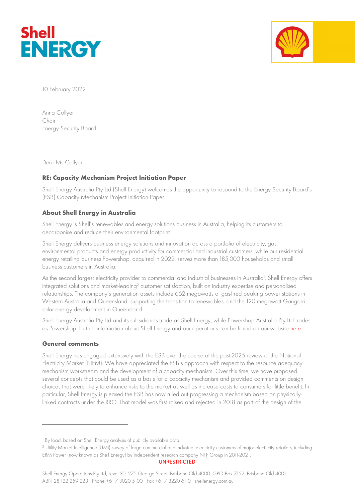



10 February 2022

Anna Collyer Chair Energy Security Board

Dear Ms Collyer

# RE: Capacity Mechanism Project Initiation Paper

Shell Energy Australia Pty Ltd (Shell Energy) welcomes the opportunity to respond to the Energy Security Board's (ESB) Capacity Mechanism Project Initiation Paper.

# About Shell Energy in Australia

Shell Energy is Shell's renewables and energy solutions business in Australia, helping its customers to decarbonise and reduce their environmental footprint.

Shell Energy delivers business energy solutions and innovation across a portfolio of electricity, gas, environmental products and energy productivity for commercial and industrial customers, while our residential energy retailing business Powershop, acquired in 2022, serves more than 185,000 households and small business customers in Australia.

As the second largest electricity provider to commercial and industrial businesses in Australia<sup>1</sup>, Shell Energy offers integrated solutions and market-leading<sup>2</sup> customer satisfaction, built on industry expertise and personalised relationships. The company's generation assets include 662 megawatts of gas-fired peaking power stations in Western Australia and Queensland, supporting the transition to renewables, and the 120 megawatt Gangarri solar energy development in Queensland.

Shell Energy Australia Pty Ltd and its subsidiaries trade as Shell Energy, while Powershop Australia Pty Ltd trades as Powershop. Further information about Shell Energy and our operations can be found on our website here.

### General comments

Shell Energy has engaged extensively with the ESB over the course of the post-2025 review of the National Electricity Market (NEM). We have appreciated the ESB's approach with respect to the resource adequacy mechanism workstream and the development of a capacity mechanism. Over this time, we have proposed several concepts that could be used as a basis for a capacity mechanism and provided comments on design choices that were likely to enhance risks to the market as well as increase costs to consumers for little benefit. In particular, Shell Energy is pleased the ESB has now ruled out progressing a mechanism based on physicallylinked contracts under the RRO. That model was first raised and rejected in 2018 as part of the design of the

UNRESTRICTED

Shell Energy Operations Pty Ltd, Level 30, 275 George Street, Brisbane Qld 4000. GPO Box 7152, Brisbane Qld 4001. ABN 28 122 259 223 Phone +61 7 3020 5100 Fax +61 7 3220 6110 shellenergy.com.au

<sup>1</sup> By load, based on Shell Energy analysis of publicly available data.

<sup>2</sup> Utility Market Intelligence (UMI) survey of large commercial and industrial electricity customers of major electricity retailers, including ERM Power (now known as Shell Energy) by independent research company NTF Group in 2011-2021.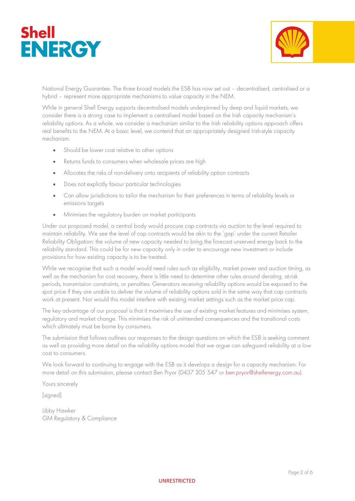



National Energy Guarantee. The three broad models the ESB has now set out – decentralised, centralised or a hybrid – represent more appropriate mechanisms to value capacity in the NEM.

While in general Shell Energy supports decentralised models underpinned by deep and liquid markets, we consider there is a strong case to implement a centralised model based on the Irish capacity mechanism's reliability options. As a whole, we consider a mechanism similar to the Irish reliability options approach offers real benefits to the NEM. At a basic level, we contend that an appropriately designed Irish-style capacity mechanism:

- Should be lower cost relative to other options
- Returns funds to consumers when wholesale prices are high
- Allocates the risks of non-delivery onto recipients of reliability option contracts
- Does not explicitly favour particular technologies
- Can allow jurisdictions to tailor the mechanism for their preferences in terms of reliability levels or emissions targets
- Minimises the regulatory burden on market participants

Under our proposed model, a central body would procure cap contracts via auction to the level required to maintain reliability. We see the level of cap contracts would be akin to the 'gap' under the current Retailer Reliability Obligation: the volume of new capacity needed to bring the forecast unserved energy back to the reliability standard. This could be for new capacity only in order to encourage new investment or include provisions for how existing capacity is to be treated.

While we recognise that such a model would need rules such as eligibility, market power and auction timing, as well as the mechanism for cost recovery, there is little need to determine other rules around derating, at-risk periods, transmission constraints, or penalties. Generators receiving reliability options would be exposed to the spot price if they are unable to deliver the volume of reliability options sold in the same way that cap contracts work at present. Nor would this model interfere with existing market settings such as the market price cap.

The key advantage of our proposal is that it maximises the use of existing market features and minimises system, regulatory and market change. This minimises the risk of unintended consequences and the transitional costs which ultimately must be borne by consumers.

The submission that follows outlines our responses to the design questions on which the ESB is seeking comment as well as providing more detail on the reliability options model that we argue can safeguard reliability at a low cost to consumers.

We look forward to continuing to engage with the ESB as it develops a design for a capacity mechanism. For more detail on this submission, please contact Ben Pryor (0437 305 547 or ben.pryor@shellenergy.com.au).

Yours sincerely

[signed]

Libby Hawker GM Regulatory & Compliance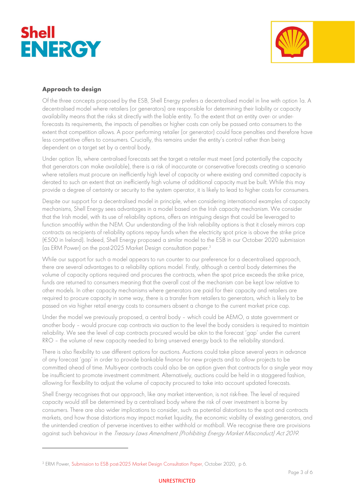



# Approach to design

Of the three concepts proposed by the ESB, Shell Energy prefers a decentralised model in line with option 1a. A decentralised model where retailers (or generators) are responsible for determining their liability or capacity availability means that the risks sit directly with the liable entity. To the extent that an entity over- or underforecasts its requirements, the impacts of penalties or higher costs can only be passed onto consumers to the extent that competition allows. A poor performing retailer (or generator) could face penalties and therefore have less competitive offers to consumers. Crucially, this remains under the entity's control rather than being dependent on a target set by a central body.

Under option 1b, where centralised forecasts set the target a retailer must meet (and potentially the capacity that generators can make available), there is a risk of inaccurate or conservative forecasts creating a scenario where retailers must procure an inefficiently high level of capacity or where existing and committed capacity is derated to such an extent that an inefficiently high volume of additional capacity must be built. While this may provide a degree of certainty or security to the system operator, it is likely to lead to higher costs for consumers.

Despite our support for a decentralised model in principle, when considering international examples of capacity mechanisms, Shell Energy sees advantages in a model based on the Irish capacity mechanism. We consider that the Irish model, with its use of reliability options, offers an intriguing design that could be leveraged to function smoothly within the NEM. Our understanding of the Irish reliability options is that it closely mirrors cap contracts as recipients of reliability options repay funds when the electricity spot price is above the strike price (€500 in Ireland). Indeed, Shell Energy proposed a similar model to the ESB in our October 2020 submission (as ERM Power) on the post-2025 Market Design consultation paper.<sup>3</sup>

While our support for such a model appears to run counter to our preference for a decentralised approach, there are several advantages to a reliability options model. Firstly, although a central body determines the volume of capacity options required and procures the contracts, when the spot price exceeds the strike price, funds are returned to consumers meaning that the overall cost of the mechanism can be kept low relative to other models. In other capacity mechanisms where generators are paid for their capacity and retailers are required to procure capacity in some way, there is a transfer from retailers to generators, which is likely to be passed on via higher retail energy costs to consumers absent a change to the current market price cap.

Under the model we previously proposed, a central body – which could be AEMO, a state government or another body – would procure cap contracts via auction to the level the body considers is required to maintain reliability. We see the level of cap contracts procured would be akin to the forecast 'gap' under the current RRO – the volume of new capacity needed to bring unserved energy back to the reliability standard.

There is also flexibility to use different options for auctions. Auctions could take place several years in advance of any forecast 'gap' in order to provide bankable finance for new projects and to allow projects to be committed ahead of time. Multi-year contracts could also be an option given that contracts for a single year may be insufficient to promote investment commitment. Alternatively, auctions could be held in a staggered fashion, allowing for flexibility to adjust the volume of capacity procured to take into account updated forecasts.

Shell Energy recognises that our approach, like any market intervention, is not risk-free. The level of required capacity would still be determined by a centralised body where the risk of over investment is borne by consumers. There are also wider implications to consider, such as potential distortions to the spot and contracts markets, and how those distortions may impact market liquidity, the economic viability of existing generators, and the unintended creation of perverse incentives to either withhold or mothball. We recognise there are provisions against such behaviour in the Treasury Laws Amendment (Prohibiting Energy Market Misconduct) Act 2019.

<sup>3</sup> ERM Power, Submission to ESB post-2025 Market Design Consultation Paper, October 2020, p 6.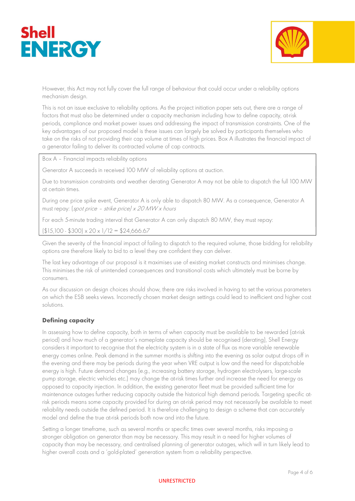



However, this Act may not fully cover the full range of behaviour that could occur under a reliability options mechanism design.

This is not an issue exclusive to reliability options. As the project initiation paper sets out, there are a range of factors that must also be determined under a capacity mechanism including how to define capacity, at-risk periods, compliance and market power issues and addressing the impact of transmission constraints. One of the key advantages of our proposed model is these issues can largely be solved by participants themselves who take on the risks of not providing their cap volume at times of high prices. Box A illustrates the financial impact of a generator failing to deliver its contracted volume of cap contracts.

Box A – Financial impacts reliability options

Generator A succeeds in received 100 MW of reliability options at auction.

Due to transmission constraints and weather derating Generator A may not be able to dispatch the full 100 MW at certain times.

During one price spike event, Generator A is only able to dispatch 80 MW. As a consequence, Generator A must repay: (spot price – strike price) x 20 MW x hours

For each 5-minute trading interval that Generator A can only dispatch 80 MW, they must repay:

 $(\$15,100 - \$300) \times 20 \times 1/12 = \$24,666.67$ 

Given the severity of the financial impact of failing to dispatch to the required volume, those bidding for reliability options are therefore likely to bid to a level they are confident they can deliver.

The last key advantage of our proposal is it maximises use of existing market constructs and minimises change. This minimises the risk of unintended consequences and transitional costs which ultimately must be borne by consumers.

As our discussion on design choices should show, there are risks involved in having to set the various parameters on which the ESB seeks views. Incorrectly chosen market design settings could lead to inefficient and higher cost solutions.

### Defining capacity

In assessing how to define capacity, both in terms of when capacity must be available to be rewarded (at-risk period) and how much of a generator's nameplate capacity should be recognised (derating), Shell Energy considers it important to recognise that the electricity system is in a state of flux as more variable renewable energy comes online. Peak demand in the summer months is shifting into the evening as solar output drops off in the evening and there may be periods during the year when VRE output is low and the need for dispatchable energy is high. Future demand changes (e.g., increasing battery storage, hydrogen electrolysers, large-scale pump storage, electric vehicles etc.) may change the at-risk times further and increase the need for energy as opposed to capacity injection. In addition, the existing generator fleet must be provided sufficient time for maintenance outages further reducing capacity outside the historical high demand periods. Targeting specific atrisk periods means some capacity provided for during an at-risk period may not necessarily be available to meet reliability needs outside the defined period. It is therefore challenging to design a scheme that can accurately model and define the true at-risk periods both now and into the future.

Setting a longer timeframe, such as several months or specific times over several months, risks imposing a stronger obligation on generator than may be necessary. This may result in a need for higher volumes of capacity than may be necessary, and centralised planning of generator outages, which will in turn likely lead to higher overall costs and a 'gold-plated' generation system from a reliability perspective.

#### UNRESTRICTED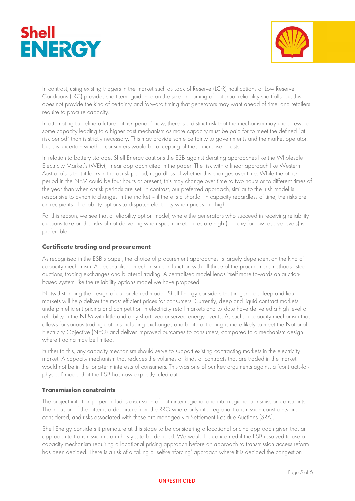



In contrast, using existing triggers in the market such as Lack of Reserve (LOR) notifications or Low Reserve Conditions (LRC) provides short-term guidance on the size and timing of potential reliability shortfalls, but this does not provide the kind of certainty and forward timing that generators may want ahead of time, and retailers require to procure capacity.

In attempting to define a future "at-risk period" now, there is a distinct risk that the mechanism may under-reward some capacity leading to a higher cost mechanism as more capacity must be paid for to meet the defined "at risk period" than is strictly necessary. This may provide some certainty to governments and the market operator, but it is uncertain whether consumers would be accepting of these increased costs.

In relation to battery storage, Shell Energy cautions the ESB against derating approaches like the Wholesale Electricity Market's (WEM) linear approach cited in the paper. The risk with a linear approach like Western Australia's is that it locks in the at-risk period, regardless of whether this changes over time. While the at-risk period in the NEM could be four hours at present, this may change over time to two hours or to different times of the year than when at-risk periods are set. In contrast, our preferred approach, similar to the Irish model is responsive to dynamic changes in the market – if there is a shortfall in capacity regardless of time, the risks are on recipients of reliability options to dispatch electricity when prices are high.

For this reason, we see that a reliability option model, where the generators who succeed in receiving reliability auctions take on the risks of not delivering when spot market prices are high (a proxy for low reserve levels) is preferable.

# Certificate trading and procurement

As recognised in the ESB's paper, the choice of procurement approaches is largely dependent on the kind of capacity mechanism. A decentralised mechanism can function with all three of the procurement methods listed – auctions, trading exchanges and bilateral trading. A centralised model lends itself more towards an auctionbased system like the reliability options model we have proposed.

Notwithstanding the design of our preferred model, Shell Energy considers that in general, deep and liquid markets will help deliver the most efficient prices for consumers. Currently, deep and liquid contract markets underpin efficient pricing and competition in electricity retail markets and to date have delivered a high level of reliability in the NEM with little and only short-lived unserved energy events. As such, a capacity mechanism that allows for various trading options including exchanges and bilateral trading is more likely to meet the National Electricity Objective (NEO) and deliver improved outcomes to consumers, compared to a mechanism design where trading may be limited.

Further to this, any capacity mechanism should serve to support existing contracting markets in the electricity market. A capacity mechanism that reduces the volumes or kinds of contracts that are traded in the market would not be in the long-term interests of consumers. This was one of our key arguments against a 'contracts-forphysical' model that the ESB has now explicitly ruled out.

### Transmission constraints

The project initiation paper includes discussion of both inter-regional and intra-regional transmission constraints. The inclusion of the latter is a departure from the RRO where only inter-regional transmission constraints are considered, and risks associated with these are managed via Settlement Residue Auctions (SRA).

Shell Energy considers it premature at this stage to be considering a locational pricing approach given that an approach to transmission reform has yet to be decided. We would be concerned if the ESB resolved to use a capacity mechanism requiring a locational pricing approach before an approach to transmission access reform has been decided. There is a risk of a taking a 'self-reinforcing' approach where it is decided the congestion

#### UNRESTRICTED